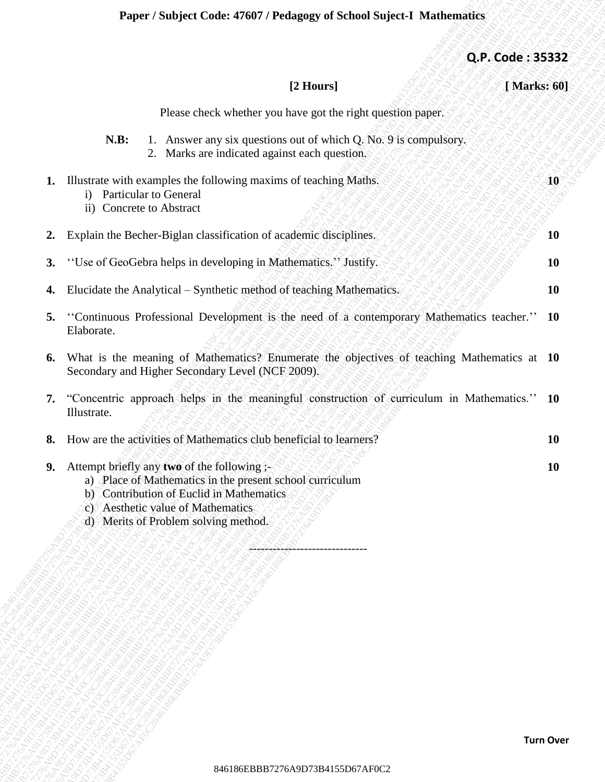| Q.P. Code: 35332 |                                                                                                                                                                                                                                  |    |
|------------------|----------------------------------------------------------------------------------------------------------------------------------------------------------------------------------------------------------------------------------|----|
| [Marks: 60]      | [2 Hours]                                                                                                                                                                                                                        |    |
|                  | Please check whether you have got the right question paper.                                                                                                                                                                      |    |
|                  | 1. Answer any six questions out of which Q. No. 9 is compulsory.<br>N.B:<br>Marks are indicated against each question.<br>2.                                                                                                     |    |
| 10               | Illustrate with examples the following maxims of teaching Maths.<br>Particular to General<br>$\mathbf{i}$<br>ii) Concrete to Abstract                                                                                            | 1. |
| <b>10</b>        | Explain the Becher-Biglan classification of academic disciplines.                                                                                                                                                                | 2. |
| <b>10</b>        | "Use of GeoGebra helps in developing in Mathematics." Justify.                                                                                                                                                                   | 3. |
| 10               | Elucidate the Analytical - Synthetic method of teaching Mathematics.                                                                                                                                                             | 4. |
| <b>10</b>        | "Continuous Professional Development is the need of a contemporary Mathematics teacher."<br>Elaborate.                                                                                                                           | 5. |
|                  | What is the meaning of Mathematics? Enumerate the objectives of teaching Mathematics at 10<br>Secondary and Higher Secondary Level (NCF 2009).                                                                                   | 6. |
|                  | "Concentric approach helps in the meaningful construction of curriculum in Mathematics." 10<br>Illustrate.                                                                                                                       | 7. |
| <b>10</b>        | How are the activities of Mathematics club beneficial to learners?                                                                                                                                                               | 8. |
| <b>10</b>        | Attempt briefly any two of the following ;-<br>a) Place of Mathematics in the present school curriculum<br>b) Contribution of Euclid in Mathematics<br>c) Aesthetic value of Mathematics<br>d) Merits of Problem solving method. | 9. |
|                  |                                                                                                                                                                                                                                  |    |
|                  |                                                                                                                                                                                                                                  |    |
|                  |                                                                                                                                                                                                                                  |    |
|                  |                                                                                                                                                                                                                                  |    |
|                  |                                                                                                                                                                                                                                  |    |
|                  |                                                                                                                                                                                                                                  |    |
|                  |                                                                                                                                                                                                                                  |    |
| <b>Turn Over</b> |                                                                                                                                                                                                                                  |    |
|                  | 846186EBBB7276A9D73B4155D67AF0C2                                                                                                                                                                                                 |    |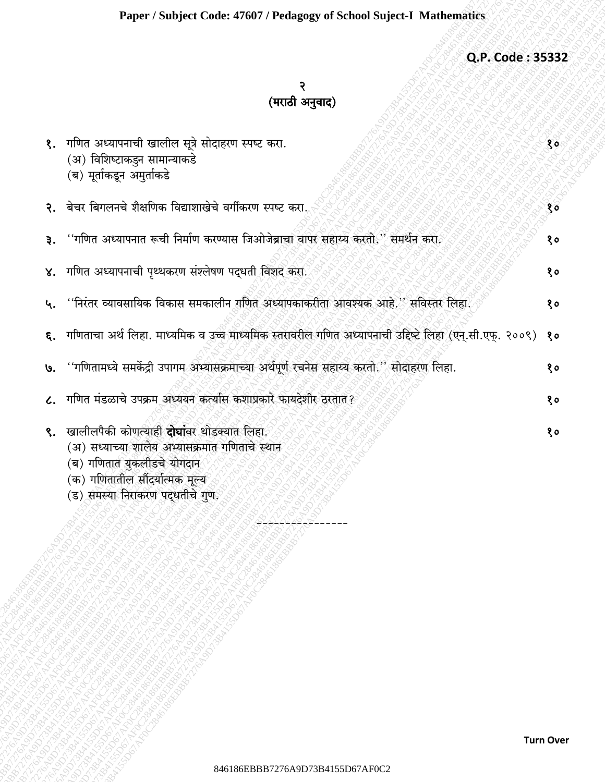## Q.P. Code: 35332

## २<br>(मराठी अनुवाद)

| १. गणित अध्यापनाची खालील सूत्रे सोदाहरण स्पष्ट करा.<br>(अ) विशिष्टाकडुन सामान्याकडे<br>(ब) मूर्ताकडून अमुर्ताकडे                                                                                     | १०           |
|------------------------------------------------------------------------------------------------------------------------------------------------------------------------------------------------------|--------------|
| २. बेचर बिगलनचे शैक्षणिक विद्याशाखेचे वर्गीकरण स्पष्ट करा.                                                                                                                                           | $80^{\circ}$ |
| ३. ''गणित अध्यापनात रूची निर्माण करण्यास जिओजेब्राचा वापर सहाय्य करतो.'' समर्थन करा.                                                                                                                 | १०           |
| ४.   गणित अध्यापनाची पृथ्थकरण संश्लेषण पद्धती विशद् करा.                                                                                                                                             | १०           |
| ५. ''निरंतर व्यावसायिक विकास समकालीन गणित अध्यापकाकरीता आवश्यक आहे.'' सविस्तर लिहा.                                                                                                                  | १०           |
| ६.   गणिताचा अर्थ लिहा. माध्यमिक व उच्च माध्यमिक स्तरावरील गणित अध्यापनाची उद्दिष्टे लिहा (एन्.सी.एफ्. २००९)                                                                                         | १०           |
| ७. ''गणितामध्ये समकेंद्री उपागम अभ्यासक्रमाच्या अर्थपूर्ण रचनेस सहाय्य करतो.'' सोदाहरण लिहा.                                                                                                         | १०           |
| ८.   गणित मंडळाचे उपक्रम अध्ययन कर्त्यास कशाप्रकारे फायदेशीर ठरतात?                                                                                                                                  | 80           |
| ९. खालीलपैकी कोणत्याही दोघांवर थोडक्यात लिहा.<br>(अ) सध्याच्या शालेय अभ्यासक्रमात गणिताचे स्थान<br>(ब) गणितात युकलीडचे योगदान<br>(क) गणितातील सौंदर्यात्मक मूल्य<br>(ड) समस्या निराकरण पद्धतीचे गुण. | १०           |